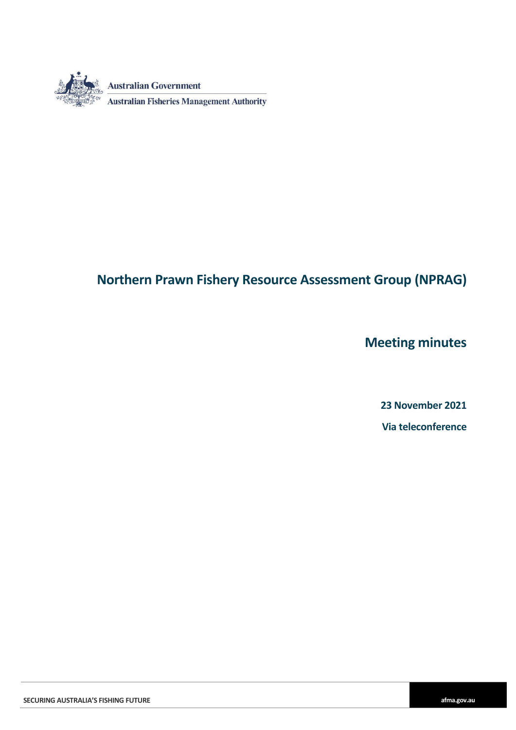

# **Northern Prawn Fishery Resource Assessment Group (NPRAG)**

**Meeting minutes**

**23 November 2021 Via teleconference**

**SECURING AUSTRALIA'S FISHING FUTURE afma.gov.au**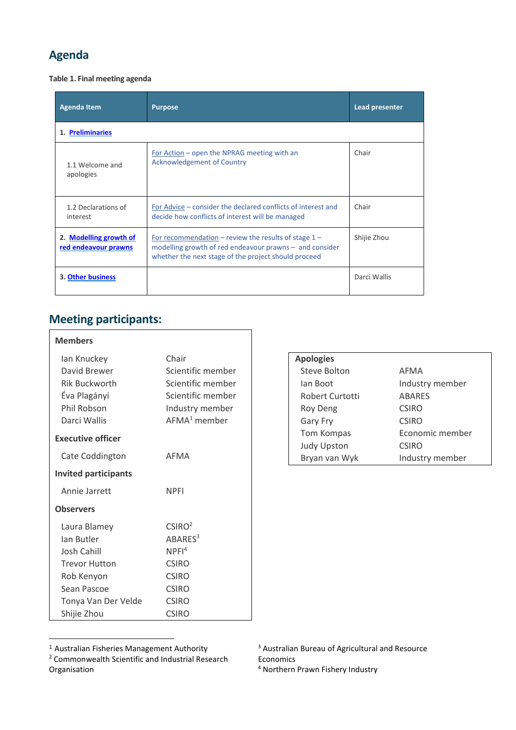# **Agenda**

**Table 1. Final meeting agenda**

| <b>Agenda Item</b>                             | <b>Purpose</b>                                                                                                                                                              | Lead presenter |  |  |  |
|------------------------------------------------|-----------------------------------------------------------------------------------------------------------------------------------------------------------------------------|----------------|--|--|--|
| 1. Preliminaries                               |                                                                                                                                                                             |                |  |  |  |
| 1.1 Welcome and<br>apologies                   | For Action – open the NPRAG meeting with an<br>Acknowledgement of Country                                                                                                   | Chair          |  |  |  |
| 1.2 Declarations of<br>interest                | For Advice – consider the declared conflicts of interest and<br>decide how conflicts of interest will be managed                                                            | Chair          |  |  |  |
| 2. Modelling growth of<br>red endeavour prawns | For recommendation – review the results of stage $1 -$<br>modelling growth of red endeavour prawns $-$ and consider<br>whether the next stage of the project should proceed | Shijie Zhou    |  |  |  |
| 3. Other business                              |                                                                                                                                                                             | Darci Wallis   |  |  |  |

# <span id="page-1-0"></span>**Meeting participants:**

| <b>Members</b>              |                     |                    |                 |
|-----------------------------|---------------------|--------------------|-----------------|
| Ian Knuckey                 | Chair               | <b>Apologies</b>   |                 |
| David Brewer                | Scientific member   | Steve Bolton       | <b>AFMA</b>     |
| <b>Rik Buckworth</b>        | Scientific member   | lan Boot           | Industry member |
| Éva Plagányi                | Scientific member   | Robert Curtotti    | <b>ABARES</b>   |
| Phil Robson                 | Industry member     | Roy Deng           | <b>CSIRO</b>    |
| Darci Wallis                | $AFMA1$ member      | Gary Fry           | <b>CSIRO</b>    |
| <b>Executive officer</b>    |                     | Tom Kompas         | Economic member |
|                             |                     | <b>Judy Upston</b> | <b>CSIRO</b>    |
| Cate Coddington             | AFMA                | Bryan van Wyk      | Industry member |
| <b>Invited participants</b> |                     |                    |                 |
| Annie Jarrett               | <b>NPFI</b>         |                    |                 |
| <b>Observers</b>            |                     |                    |                 |
| Laura Blamey                | CSIRO <sup>2</sup>  |                    |                 |
| Ian Butler                  | ABARES <sup>3</sup> |                    |                 |
| Josh Cahill                 | NPFI <sup>4</sup>   |                    |                 |
| <b>Trevor Hutton</b>        | <b>CSIRO</b>        |                    |                 |
| Rob Kenyon                  | <b>CSIRO</b>        |                    |                 |
| Sean Pascoe                 | <b>CSIRO</b>        |                    |                 |
| Tonya Van Der Velde         | <b>CSIRO</b>        |                    |                 |
| Shijie Zhou                 | <b>CSIRO</b>        |                    |                 |

<sup>-</sup><sup>1</sup> Australian Fisheries Management Authority

<sup>4</sup> Northern Prawn Fishery Industry

<sup>2</sup> Commonwealth Scientific and Industrial Research Organisation

<sup>3</sup> Australian Bureau of Agricultural and Resource Economics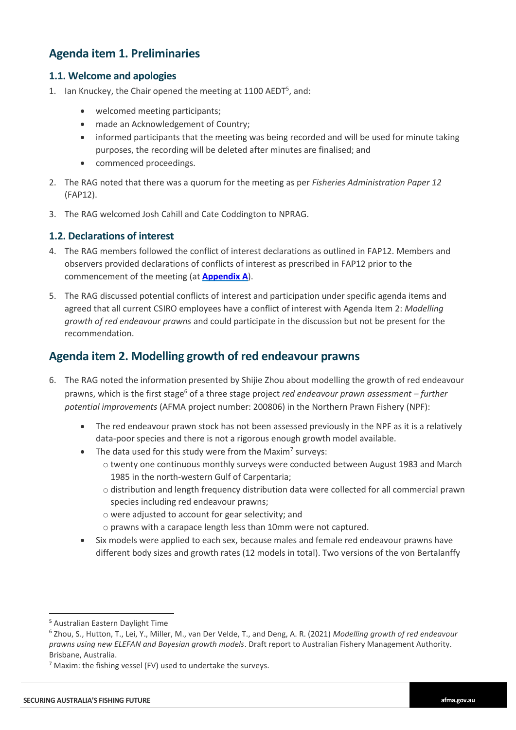## **Agenda item 1. Preliminaries**

#### **1.1. Welcome and apologies**

- 1. Ian Knuckey, the Chair opened the meeting at 1100 AEDT<sup>5</sup>, and:
	- welcomed meeting participants;
	- made an Acknowledgement of Country;
	- informed participants that the meeting was being recorded and will be used for minute taking purposes, the recording will be deleted after minutes are finalised; and
	- commenced proceedings.
- 2. The RAG noted that there was a quorum for the meeting as per *Fisheries Administration Paper 12* (FAP12).
- 3. The RAG welcomed Josh Cahill and Cate Coddington to NPRAG.

#### **1.2. Declarations of interest**

- 4. The RAG members followed the conflict of interest declarations as outlined in FAP12. Members and observers provided declarations of conflicts of interest as prescribed in FAP12 prior to the commencement of the meeting (at **[Appendix](#page-5-1) A**).
- 5. The RAG discussed potential conflicts of interest and participation under specific agenda items and agreed that all current CSIRO employees have a conflict of interest with Agenda Item 2: *Modelling growth of red endeavour prawns* and could participate in the discussion but not be present for the recommendation.

### <span id="page-2-0"></span>**Agenda item 2. Modelling growth of red endeavour prawns**

- 6. The RAG noted the information presented by Shijie Zhou about modelling the growth of red endeavour prawns, which is the first stage<sup>6</sup> of a three stage project *red endeavour prawn assessment – further potential improvements* (AFMA project number: 200806) in the Northern Prawn Fishery (NPF):
	- The red endeavour prawn stock has not been assessed previously in the NPF as it is a relatively data-poor species and there is not a rigorous enough growth model available.
	- The data used for this study were from the Maxim<sup>7</sup> surveys:
		- o twenty one continuous monthly surveys were conducted between August 1983 and March 1985 in the north-western Gulf of Carpentaria;
		- o distribution and length frequency distribution data were collected for all commercial prawn species including red endeavour prawns;
		- o were adjusted to account for gear selectivity; and
		- o prawns with a carapace length less than 10mm were not captured.
	- Six models were applied to each sex, because males and female red endeavour prawns have different body sizes and growth rates (12 models in total). Two versions of the von Bertalanffy

-

<sup>5</sup> Australian Eastern Daylight Time

<sup>6</sup> Zhou, S., Hutton, T., Lei, Y., Miller, M., van Der Velde, T., and Deng, A. R. (2021) *Modelling growth of red endeavour prawns using new ELEFAN and Bayesian growth models*. Draft report to Australian Fishery Management Authority. Brisbane, Australia.

 $<sup>7</sup>$  Maxim: the fishing vessel (FV) used to undertake the surveys.</sup>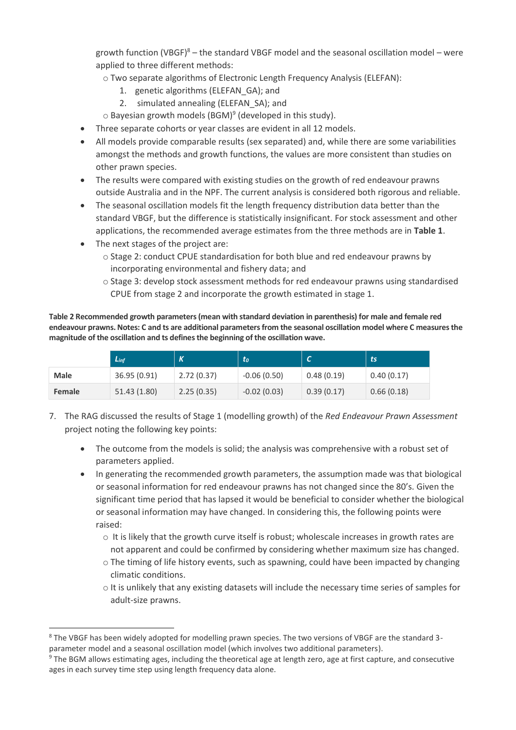growth function (VBGF) $8 -$  the standard VBGF model and the seasonal oscillation model – were applied to three different methods:

o Two separate algorithms of Electronic Length Frequency Analysis (ELEFAN):

- 1. genetic algorithms (ELEFAN\_GA); and
- 2. simulated annealing (ELEFAN\_SA); and

 $\circ$  Bayesian growth models (BGM)<sup>9</sup> (developed in this study).

- Three separate cohorts or year classes are evident in all 12 models.
- All models provide comparable results (sex separated) and, while there are some variabilities amongst the methods and growth functions, the values are more consistent than studies on other prawn species.
- The results were compared with existing studies on the growth of red endeavour prawns outside Australia and in the NPF. The current analysis is considered both rigorous and reliable.
- The seasonal oscillation models fit the length frequency distribution data better than the standard VBGF, but the difference is statistically insignificant. For stock assessment and other applications, the recommended average estimates from the three methods are in **Table 1**.
- The next stages of the project are:

-

- o Stage 2: conduct CPUE standardisation for both blue and red endeavour prawns by incorporating environmental and fishery data; and
- o Stage 3: develop stock assessment methods for red endeavour prawns using standardised CPUE from stage 2 and incorporate the growth estimated in stage 1.

**Table 2 Recommended growth parameters (mean with standard deviation in parenthesis) for male and female red endeavour prawns. Notes: C and ts are additional parametersfrom the seasonal oscillation model where C measures the magnitude of the oscillation and ts defines the beginning of the oscillation wave.**

|             | $L_{inf}$    | $\kappa$   | to            |            | ts         |
|-------------|--------------|------------|---------------|------------|------------|
| <b>Male</b> | 36.95 (0.91) | 2.72(0.37) | $-0.06(0.50)$ | 0.48(0.19) | 0.40(0.17) |
| Female      | 51.43 (1.80) | 2.25(0.35) | $-0.02(0.03)$ | 0.39(0.17) | 0.66(0.18) |

- 7. The RAG discussed the results of Stage 1 (modelling growth) of the *Red Endeavour Prawn Assessment* project noting the following key points:
	- The outcome from the models is solid; the analysis was comprehensive with a robust set of parameters applied.
	- In generating the recommended growth parameters, the assumption made was that biological or seasonal information for red endeavour prawns has not changed since the 80's. Given the significant time period that has lapsed it would be beneficial to consider whether the biological or seasonal information may have changed. In considering this, the following points were raised:
		- $\circ$  It is likely that the growth curve itself is robust; wholescale increases in growth rates are not apparent and could be confirmed by considering whether maximum size has changed.
		- o The timing of life history events, such as spawning, could have been impacted by changing climatic conditions.
		- o It is unlikely that any existing datasets will include the necessary time series of samples for adult-size prawns.

<sup>&</sup>lt;sup>8</sup> The VBGF has been widely adopted for modelling prawn species. The two versions of VBGF are the standard 3parameter model and a seasonal oscillation model (which involves two additional parameters).

<sup>&</sup>lt;sup>9</sup> The BGM allows estimating ages, including the theoretical age at length zero, age at first capture, and consecutive ages in each survey time step using length frequency data alone.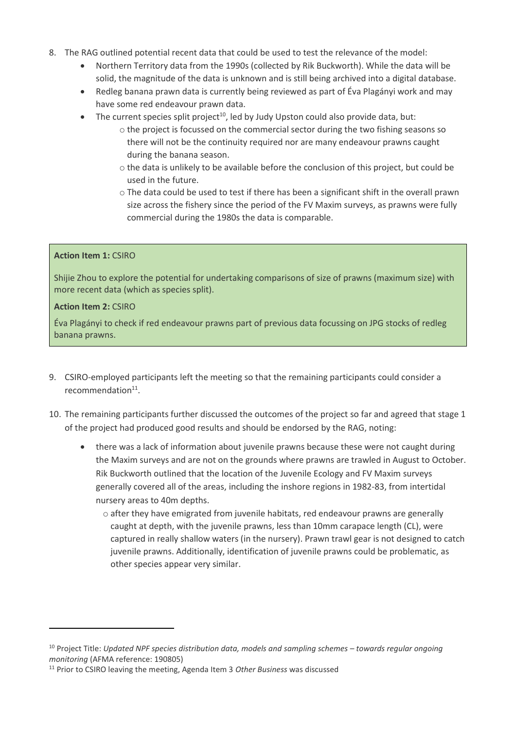- 8. The RAG outlined potential recent data that could be used to test the relevance of the model:
	- Northern Territory data from the 1990s (collected by Rik Buckworth). While the data will be solid, the magnitude of the data is unknown and is still being archived into a digital database.
	- Redleg banana prawn data is currently being reviewed as part of Éva Plagányi work and may have some red endeavour prawn data.
	- $\bullet$  The current species split project<sup>10</sup>, led by Judy Upston could also provide data, but:
		- $\circ$  the project is focussed on the commercial sector during the two fishing seasons so there will not be the continuity required nor are many endeavour prawns caught during the banana season.
		- o the data is unlikely to be available before the conclusion of this project, but could be used in the future.
		- o The data could be used to test if there has been a significant shift in the overall prawn size across the fishery since the period of the FV Maxim surveys, as prawns were fully commercial during the 1980s the data is comparable.

#### **Action Item 1:** CSIRO

Shijie Zhou to explore the potential for undertaking comparisons of size of prawns (maximum size) with more recent data (which as species split).

#### **Action Item 2:** CSIRO

-

Éva Plagányi to check if red endeavour prawns part of previous data focussing on JPG stocks of redleg banana prawns.

- 9. CSIRO-employed participants left the meeting so that the remaining participants could consider a recommendation<sup>11</sup>.
- 10. The remaining participants further discussed the outcomes of the project so far and agreed that stage 1 of the project had produced good results and should be endorsed by the RAG, noting:
	- there was a lack of information about juvenile prawns because these were not caught during the Maxim surveys and are not on the grounds where prawns are trawled in August to October. Rik Buckworth outlined that the location of the Juvenile Ecology and FV Maxim surveys generally covered all of the areas, including the inshore regions in 1982-83, from intertidal nursery areas to 40m depths.
		- o after they have emigrated from juvenile habitats, red endeavour prawns are generally caught at depth, with the juvenile prawns, less than 10mm carapace length (CL), were captured in really shallow waters (in the nursery). Prawn trawl gear is not designed to catch juvenile prawns. Additionally, identification of juvenile prawns could be problematic, as other species appear very similar.

<sup>&</sup>lt;sup>10</sup> Project Title: *Updated NPF species distribution data, models and sampling schemes – towards regular ongoing monitoring* (AFMA reference: 190805)

<sup>11</sup> Prior to CSIRO leaving the meeting, Agenda Item 3 *Other Business* was discussed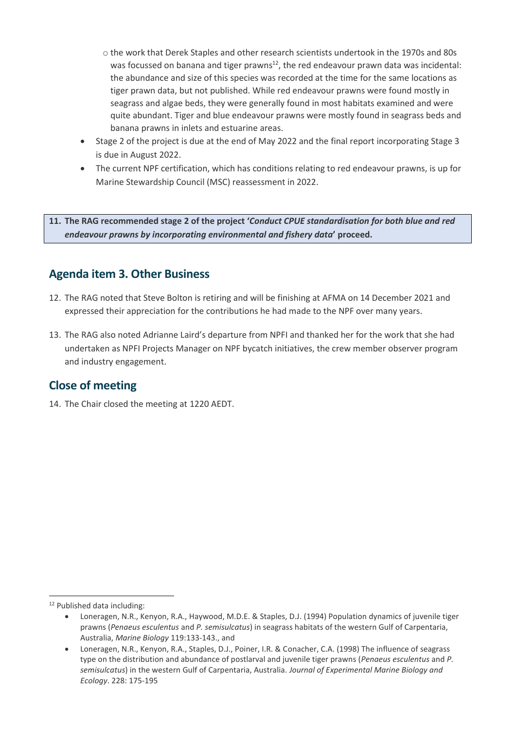- o the work that Derek Staples and other research scientists undertook in the 1970s and 80s was focussed on banana and tiger prawns $^{12}$ , the red endeavour prawn data was incidental: the abundance and size of this species was recorded at the time for the same locations as tiger prawn data, but not published. While red endeavour prawns were found mostly in seagrass and algae beds, they were generally found in most habitats examined and were quite abundant. Tiger and blue endeavour prawns were mostly found in seagrass beds and banana prawns in inlets and estuarine areas.
- Stage 2 of the project is due at the end of May 2022 and the final report incorporating Stage 3 is due in August 2022.
- The current NPF certification, which has conditions relating to red endeavour prawns, is up for Marine Stewardship Council (MSC) reassessment in 2022.

**11. The RAG recommended stage 2 of the project '***Conduct CPUE standardisation for both blue and red endeavour prawns by incorporating environmental and fishery data***' proceed.**

## <span id="page-5-0"></span>**Agenda item 3. Other Business**

- 12. The RAG noted that Steve Bolton is retiring and will be finishing at AFMA on 14 December 2021 and expressed their appreciation for the contributions he had made to the NPF over many years.
- 13. The RAG also noted Adrianne Laird's departure from NPFI and thanked her for the work that she had undertaken as NPFI Projects Manager on NPF bycatch initiatives, the crew member observer program and industry engagement.

## **Close of meeting**

<span id="page-5-1"></span>14. The Chair closed the meeting at 1220 AEDT.

-

<sup>12</sup> Published data including:

Loneragen, N.R., Kenyon, R.A., Haywood, M.D.E. & Staples, D.J. (1994) Population dynamics of juvenile tiger prawns (*Penaeus esculentus* and *P. semisulcatus*) in seagrass habitats of the western Gulf of Carpentaria, Australia, *Marine Biology* 119:133-143., and

Loneragen, N.R., Kenyon, R.A., Staples, D.J., Poiner, I.R. & Conacher, C.A. (1998) The influence of seagrass type on the distribution and abundance of postlarval and juvenile tiger prawns (*Penaeus esculentus* and *P. semisulcatus*) in the western Gulf of Carpentaria, Australia. *Journal of Experimental Marine Biology and Ecology*. 228: 175-195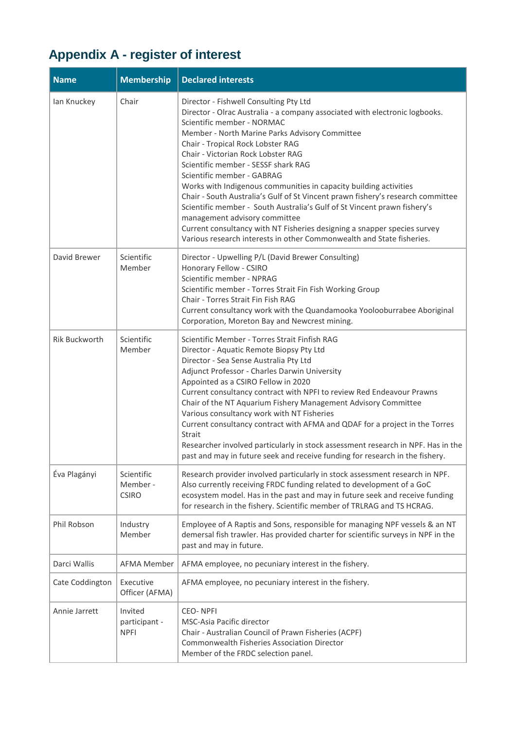# **Appendix A - register of interest**

| <b>Name</b>     | <b>Membership</b>                       | <b>Declared interests</b>                                                                                                                                                                                                                                                                                                                                                                                                                                                                                                                                                                                                                                                                                                                                                       |
|-----------------|-----------------------------------------|---------------------------------------------------------------------------------------------------------------------------------------------------------------------------------------------------------------------------------------------------------------------------------------------------------------------------------------------------------------------------------------------------------------------------------------------------------------------------------------------------------------------------------------------------------------------------------------------------------------------------------------------------------------------------------------------------------------------------------------------------------------------------------|
| lan Knuckey     | Chair                                   | Director - Fishwell Consulting Pty Ltd<br>Director - Olrac Australia - a company associated with electronic logbooks.<br>Scientific member - NORMAC<br>Member - North Marine Parks Advisory Committee<br>Chair - Tropical Rock Lobster RAG<br>Chair - Victorian Rock Lobster RAG<br>Scientific member - SESSF shark RAG<br>Scientific member - GABRAG<br>Works with Indigenous communities in capacity building activities<br>Chair - South Australia's Gulf of St Vincent prawn fishery's research committee<br>Scientific member - South Australia's Gulf of St Vincent prawn fishery's<br>management advisory committee<br>Current consultancy with NT Fisheries designing a snapper species survey<br>Various research interests in other Commonwealth and State fisheries. |
| David Brewer    | Scientific<br>Member                    | Director - Upwelling P/L (David Brewer Consulting)<br>Honorary Fellow - CSIRO<br>Scientific member - NPRAG<br>Scientific member - Torres Strait Fin Fish Working Group<br>Chair - Torres Strait Fin Fish RAG<br>Current consultancy work with the Quandamooka Yoolooburrabee Aboriginal<br>Corporation, Moreton Bay and Newcrest mining.                                                                                                                                                                                                                                                                                                                                                                                                                                        |
| Rik Buckworth   | Scientific<br>Member                    | Scientific Member - Torres Strait Finfish RAG<br>Director - Aquatic Remote Biopsy Pty Ltd<br>Director - Sea Sense Australia Pty Ltd<br>Adjunct Professor - Charles Darwin University<br>Appointed as a CSIRO Fellow in 2020<br>Current consultancy contract with NPFI to review Red Endeavour Prawns<br>Chair of the NT Aquarium Fishery Management Advisory Committee<br>Various consultancy work with NT Fisheries<br>Current consultancy contract with AFMA and QDAF for a project in the Torres<br>Strait<br>Researcher involved particularly in stock assessment research in NPF. Has in the<br>past and may in future seek and receive funding for research in the fishery.                                                                                               |
| Éva Plagányi    | Scientific<br>Member -<br><b>CSIRO</b>  | Research provider involved particularly in stock assessment research in NPF.<br>Also currently receiving FRDC funding related to development of a GoC<br>ecosystem model. Has in the past and may in future seek and receive funding<br>for research in the fishery. Scientific member of TRLRAG and TS HCRAG.                                                                                                                                                                                                                                                                                                                                                                                                                                                                  |
| Phil Robson     | Industry<br>Member                      | Employee of A Raptis and Sons, responsible for managing NPF vessels & an NT<br>demersal fish trawler. Has provided charter for scientific surveys in NPF in the<br>past and may in future.                                                                                                                                                                                                                                                                                                                                                                                                                                                                                                                                                                                      |
| Darci Wallis    | <b>AFMA Member</b>                      | AFMA employee, no pecuniary interest in the fishery.                                                                                                                                                                                                                                                                                                                                                                                                                                                                                                                                                                                                                                                                                                                            |
| Cate Coddington | Executive<br>Officer (AFMA)             | AFMA employee, no pecuniary interest in the fishery.                                                                                                                                                                                                                                                                                                                                                                                                                                                                                                                                                                                                                                                                                                                            |
| Annie Jarrett   | Invited<br>participant -<br><b>NPFI</b> | <b>CEO-NPFI</b><br><b>MSC-Asia Pacific director</b><br>Chair - Australian Council of Prawn Fisheries (ACPF)<br><b>Commonwealth Fisheries Association Director</b><br>Member of the FRDC selection panel.                                                                                                                                                                                                                                                                                                                                                                                                                                                                                                                                                                        |